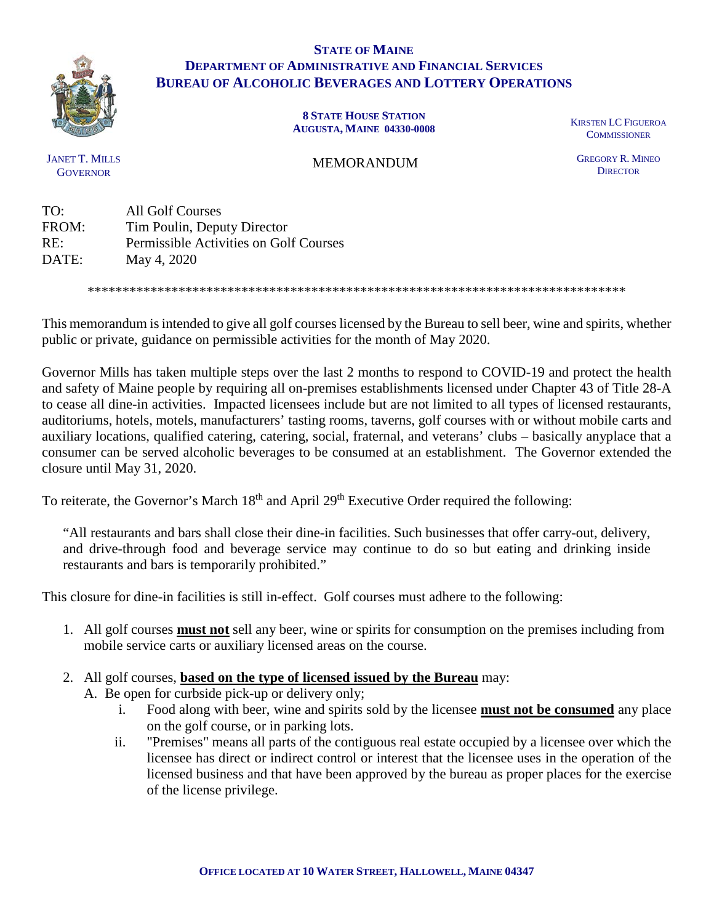

## **STATE OF MAINE DEPARTMENT OF ADMINISTRATIVE AND FINANCIAL SERVICES BUREAU OF ALCOHOLIC BEVERAGES AND LOTTERY OPERATIONS**

**8 STATE HOUSE STATION AUGUSTA, MAINE 04330-0008** KIRSTEN LC FIGUEROA

**COMMISSIONER** 

JANET T. MILLS **GOVERNOR** 

MEMORANDUM

GREGORY R. MINEO **DIRECTOR** 

TO: All Golf Courses FROM: Tim Poulin, Deputy Director RE: Permissible Activities on Golf Courses DATE: May 4, 2020

\*\*\*\*\*\*\*\*\*\*\*\*\*\*\*\*\*\*\*\*\*\*\*\*\*\*\*\*\*\*\*\*\*\*\*\*\*\*\*\*\*\*\*\*\*\*\*\*\*\*\*\*\*\*\*\*\*\*\*\*\*\*\*\*\*\*\*\*\*\*\*\*\*\*\*\*\*

This memorandum is intended to give all golf courses licensed by the Bureau to sell beer, wine and spirits, whether public or private, guidance on permissible activities for the month of May 2020.

Governor Mills has taken multiple steps over the last 2 months to respond to COVID-19 and protect the health and safety of Maine people by requiring all on-premises establishments licensed under Chapter 43 of Title 28-A to cease all dine-in activities. Impacted licensees include but are not limited to all types of licensed restaurants, auditoriums, hotels, motels, manufacturers' tasting rooms, taverns, golf courses with or without mobile carts and auxiliary locations, qualified catering, catering, social, fraternal, and veterans' clubs – basically anyplace that a consumer can be served alcoholic beverages to be consumed at an establishment. The Governor extended the closure until May 31, 2020.

To reiterate, the Governor's March 18<sup>th</sup> and April 29<sup>th</sup> Executive Order required the following:

"All restaurants and bars shall close their dine-in facilities. Such businesses that offer carry-out, delivery, and drive-through food and beverage service may continue to do so but eating and drinking inside restaurants and bars is temporarily prohibited."

This closure for dine-in facilities is still in-effect. Golf courses must adhere to the following:

- 1. All golf courses **must not** sell any beer, wine or spirits for consumption on the premises including from mobile service carts or auxiliary licensed areas on the course.
- 2. All golf courses, **based on the type of licensed issued by the Bureau** may:
	- A. Be open for curbside pick-up or delivery only;
		- i. Food along with beer, wine and spirits sold by the licensee **must not be consumed** any place on the golf course, or in parking lots.
		- ii. "Premises" means all parts of the contiguous real estate occupied by a licensee over which the licensee has direct or indirect control or interest that the licensee uses in the operation of the licensed business and that have been approved by the bureau as proper places for the exercise of the license privilege.